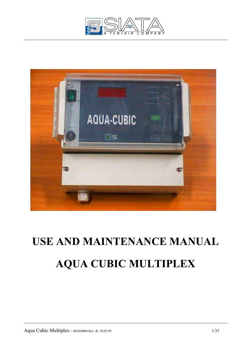



# **USE AND MAINTENANCE MANUAL AQUA CUBIC MULTIPLEX**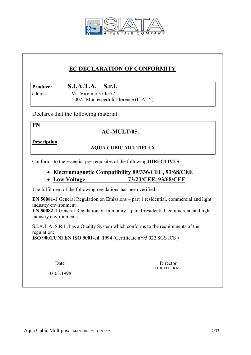

# **EC DECLARATION OF CONFORMITY**

**Producer S.I.A.T.A. S.r.l.**

 address Via Virginio 370/372 50025 Montespertoli-Florence (ITALY)

Declares that the following material:

**PN** 

# **AC-MULT/05**

**Description**

# **AQUA CUBIC MULTIPLEX**

Conforms to the essential pre-requisites of the following **DIRECTIVES**:

- **Electromagnetic Compatibility 89/336/CEE, 93/68/CEE**
- **Low Voltage 73/23/CEE, 93/68/CEE**

The fulfilment of the following regulations has been verified:

**EN 50081-1** General Regulation on Emissions – part 1 residential, commercial and light industry environment

**EN 50082-1** General Regulation on Immunity – part 1:residential, commercial and light industry environments

 S.I.A.T.A. S.R.L. has a Quality System which conforms to the requirements of the regulation:

**ISO 9001/UNI EN ISO 9001-ed. 1994** (Certificate n°95.022 SGS ICS )

Date Director LUIGI FERRALI

03.03.1998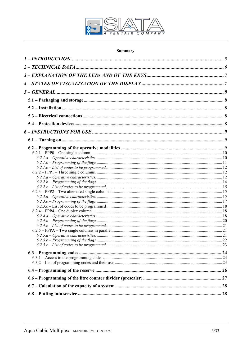

# Summary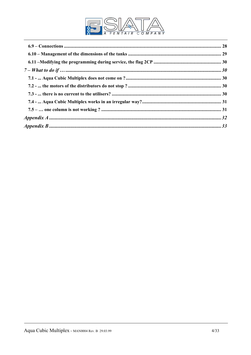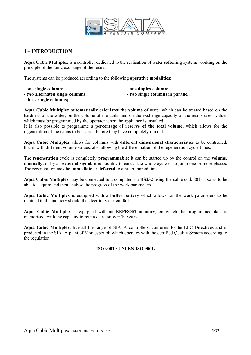

# **1 – INTRODUCTION**

**Aqua Cubic Multiplex** is a controller dedicated to the realisation of water **softening** systems working on the principle of the ionic exchange of the resins.

The systems can be produced according to the following **operative modalities:** 

- one single column;  $\qquad \qquad -$  one duplex column;
	-
- **two alternated single columns**;  $\qquad \qquad$  **two single columns in parallel**;
- 

**three single columns;** 

**Aqua Cubic Multiplex automatically calculates the volume** of water which can be treated based on the hardness of the water, on the volume of the tanks and on the exchange capacity of the resins used, values which must be programmed by the operator when the appliance is installed.

It is also possible to programme a **percentage of reserve of the total volume,** which allows for the regeneration of the resins to be started before they have completely run out.

**Aqua Cubic Multiplex** allows for columns with **different dimensional characteristics** to be controlled, that is with different volume values, also allowing the differentiation of the regeneration cycle times.

The **regeneration** cycle is completely **programmable**: it can be started up by the control on the **volume**, **manually,** or by an **external signal,** it is possible to cancel the whole cycle or to jump one or more phases. The regeneration may be **immediate** or **deferred** to a programmed time.

**Aqua Cubic Multiplex** may be connected to a computer via **RS232** using the cable cod. 881-1, so as to be able to acquire and then analyse the progress of the work parameters

**Aqua Cubic Multiplex** is equipped with a **buffer battery** which allows for the work parameters to be retained in the memory should the electricity current fail.

**Aqua Cubic Multiplex** is equipped with an **EEPROM memory**, on which the programmed data is memorised, with the capacity to retain data for over **10 years.** 

**Aqua Cubic Multiplex**, like all the range of SIATA controllers, conforms to the EEC Directives and is produced in the SIATA plant of Montespertoli which operates with the certified Quality System according to the regulation

## **ISO 9001 / UNI EN ISO 9001.**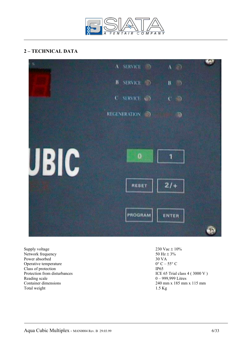

# **2 – TECHNICAL DATA**



Supply voltage 230 Vac  $\pm$  10%<br>Network frequency 50 Hz  $\pm$  3% Network frequency Power absorbed 30 VA<br>Operative temperature  $0^{\circ}C - 55^{\circ}C$ Operative temperature Class of protection<br>
Protection from disturbances<br>
ICE 6 Reading scale  $0 - 999,999$  Litres Total weight

ICE 65 Trial class  $4$  ( 3000 V ) Container dimensions 240 mm x 185 mm x 115 mm<br>Total weight 1.5 Kg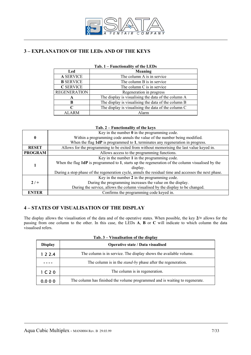

# **3 – EXPLANATION OF THE LEDs AND OF THE KEYS**

| 100.<br>r unchonancy of the EED's |                                                     |  |  |  |
|-----------------------------------|-----------------------------------------------------|--|--|--|
| Led                               | Meaning                                             |  |  |  |
| <b>A SERVICE</b>                  | The column A is in service                          |  |  |  |
| <b>B</b> SERVICE                  | The column B is in service                          |  |  |  |
| <b>C SERVICE</b>                  | The column C is in service                          |  |  |  |
| <b>REGENERATION</b>               | Regeneration in progress                            |  |  |  |
| A                                 | The display is visualising the data of the column A |  |  |  |
| B                                 | The display is visualising the data of the column B |  |  |  |
| ⊂                                 | The display is visualising the data of the column C |  |  |  |
| <b>ALARM</b>                      | Alarm                                               |  |  |  |

## **Tab. 1 – Functionality of the LEDs**

#### **Tab. 2 – Functionality of the keys**

|                | Key in the number $\theta$ in the programming code.                                                  |
|----------------|------------------------------------------------------------------------------------------------------|
| $\bf{0}$       | Within a programming code annuls the value of the number being modified.                             |
|                | When the flag $1dP$ is programmed to 1, terminates any regeneration in progress.                     |
| <b>RESET</b>   | Allows for the programming to be exited from without memorising the last value keyed in.             |
| <b>PROGRAM</b> | Allows access to the programming functions.                                                          |
|                | Key in the number 1 in the programming code.                                                         |
|                | When the flag 1dP is programmed to 1, starts up the regeneration of the column visualised by the     |
|                | display.                                                                                             |
|                | During a stop phase of the regeneration cycle, annuls the residual time and accesses the next phase. |
|                | Key in the number 2 in the programming code.                                                         |
| $2/ +$         | During the programming increases the value on the display.                                           |
|                | During the service, allows the column visualised by the display to be changed.                       |
| <b>ENTER</b>   | Confirms the programming code keyed in.                                                              |

## **4 – STATES OF VISUALISATION OF THE DISPLAY**

The display allows the visualisation of the data and of the operative states. When possible, the key **2/+** allows for the passing from one column to the other. In this case, the LEDs **A**, **B** or **C** will indicate to which column the data visualised refers.

| Tab. 3 – Visualisation of the display |                                                                             |  |  |  |  |
|---------------------------------------|-----------------------------------------------------------------------------|--|--|--|--|
| <b>Display</b>                        | <b>Operative state / Data visualised</b>                                    |  |  |  |  |
| 1 2 2.4                               | The column is in service. The display shows the available volume.           |  |  |  |  |
|                                       | The column is in the <i>stand-by</i> phase after the regeneration.          |  |  |  |  |
| 1 <sub>C</sub> 2 <sub>O</sub>         | The column is in regeneration.                                              |  |  |  |  |
| 0.000                                 | The column has finished the volume programmed and is waiting to regenerate. |  |  |  |  |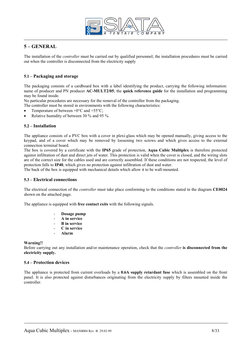

## **5 – GENERAL**

The installation of the *controller* must be carried out by qualified personnel; the installation procedures must be carried out when the controller is disconnected from the electricity supply

#### **5.1 – Packaging and storage**

The packaging consists of a cardboard box with a label identifying the product, carrying the following information: name of producer and PN producer **AC-MULT2/05**; the **quick reference guide** for the installation and programming may be found inside.

No particular procedures are necessary for the removal of the controller from the packaging.

The controller must be stored in environments with the following characteristics:

- Temperature of between  $+0$ °C and  $+55$ °C;
- Relative humidity of between 30 % and 95 %.

#### **5.2 – Installation**

The appliance consists of a PVC box with a cover in plexi-glass which may be opened manually, giving access to the keypad, and of a cover which may be removed by loosening two screws and which gives access to the external connection terminal board.

The box is covered by a certificate with the **IP65** grade of protection, **Aqua Cubic Multiplex** is therefore protected against infiltration of dust and direct jets of water. This protection is valid when the cover is closed, and the wiring slots are of the correct size for the cables used and are correctly assembled. If these conditions are not respected, the level of protection falls to **IP40**, which gives no protection against infiltration of dust and water.

The back of the box is equipped with mechanical details which allow it to be wall-mounted.

#### **5.3 – Electrical connections**

The electrical connection of the *controller* must take place conforming to the conditions stated in the diagram **CE0024** shown on the attached page.

The appliance is equipped with **free contact exits** with the following signals.

- **Dosage pump**
- **A in service**
- **B in service**
- **C in service**
- **Alarm**

#### **Warning!!**

Before carrying out any installation and/or maintenance operation, check that the *controller* **is disconnected from the electricity supply.** 

#### **5.4 – Protection devices**

The appliance is protected from current overloads by a **0.6A supply retardant fuse** which is assembled on the front panel. It is also protected against disturbances originating from the electricity supply by filters mounted inside the controller.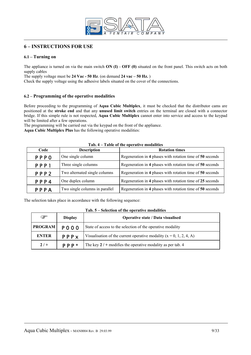

# **6 – INSTRUCTIONS FOR USE**

## **6.1 – Turning on**

The appliance is turned on via the main switch **ON (I)** - **OFF (0)** situated on the front panel. This switch acts on both supply cables

The supply voltage must be **24 Vac - 50 Hz**. (on demand **24 vac – 50 Hz.** )

Check the supply voltage using the adhesive labels situated on the cover of the connections.

#### **6.2 – Programming of the operative modalities**

Before proceeding to the programming of **Aqua Cubic Multiplex**, it must be checked that the distributor cams are positioned at the **stroke end** and that any **unused limit switch** entries on the terminal are closed with a connector bridge. If this simple rule is not respected, **Aqua Cubic Multiplex** cannot enter into service and access to the keypad will be limited after a few operations.

The programming will be carried out via the keypad on the front of the appliance. **Aqua Cubic Multiplex Plus** has the following operative modalities:

| Code             | <b>Description</b>             | <b>Rotation times</b>                                     |
|------------------|--------------------------------|-----------------------------------------------------------|
| <b>PPPO</b>      | One single column              | Regeneration in 4 phases with rotation time of 50 seconds |
| PPP <sub>1</sub> | Three single columns           | Regeneration in 4 phases with rotation time of 50 seconds |
| PPP <sub>2</sub> | Two alternated single columns  | Regeneration in 4 phases with rotation time of 50 seconds |
| PPP4             | One duplex column              | Regeneration in 4 phases with rotation time of 25 seconds |
| PPPA             | Two single columns in parallel | Regeneration in 4 phases with rotation time of 50 seconds |

#### **Tab. 4 – Table of the operative modalities**

The selection takes place in accordance with the following sequence:

| ক্লে           | <b>Display</b> | <b>Operative state / Data visualised</b>                              |  |
|----------------|----------------|-----------------------------------------------------------------------|--|
| <b>PROGRAM</b> | <b>POOO</b>    | State of access to the selection of the operative modality            |  |
| <b>ENTER</b>   | PPPX           | Visualisation of the current operative modality $(x = 0, 1, 2, 4, A)$ |  |
| $2/$ +         | P P P          | The key $2 / +$ modifies the operative modality as per tab. 4         |  |

#### **Tab. 5 – Selection of the operative modalities**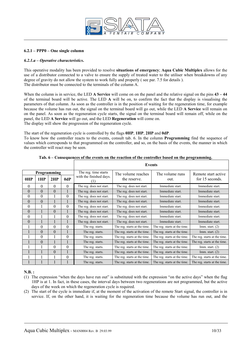

#### **6.2.1 – PPP0 – One single column**

#### *6.2.1.a – Operative characteristics***.**

This operative modality has been provided to resolve **situations of emergency**; **Aqua Cubic Multiplex** allows for the use of a distributor connected to a valve to ensure the supply of treated water to the utiliser when breakdowns of any degree of gravity do not allow the system to work fully and properly ( see par. 7.5 for details ). The distributor must be connected to the terminals of the column A.

When the column is in service, the LED **A Service** will come on on the panel and the relative signal on the pins  $43 - 44$ of the terminal board will be active. The LED **A** will be on, to confirm the fact that the display is visualising the parameters of that column. As soon as the controller is in the position of waiting for the regeneration time, for example because the volume has run out, the signal on the terminal board will go out, while the LED **A Service** will remain on on the panel. As soon as the regeneration cycle starts, the signal on the terminal board will remain off, while on the panel, the LED **A Service** will go out, and the LED **Regeneration** will come on. The display will show the progression of the regeneration cycle.

The start of the regeneration cycle is controlled by the flags **0HP**, **1HP**, **2HP** and **0dP**. To know how the controller reacts to the events, consult tab. 6. In the column **Programming** find the sequence of values which corresponds to that programmed on the controller, and so, on the basis of the events, the manner in which the controller will react may be seen.

|          |                  |                |          | <b>Events</b>            |                              |                              |                              |  |  |
|----------|------------------|----------------|----------|--------------------------|------------------------------|------------------------------|------------------------------|--|--|
|          |                  | Programming    |          | The reg. time starts     | The volume reaches           | The volume runs              | Remote start active          |  |  |
| 0HP      | 1HP              | 2HP            | 0dP      | with the finished days.  | the reserve.                 | out.                         | for 15 seconds.              |  |  |
| $\theta$ | $\Omega$         | $\theta$       | $\theta$ | The reg. does not start. | The reg. does not start.     | Immediate start.             | Immediate start.             |  |  |
| $\theta$ | $\boldsymbol{0}$ | $\overline{0}$ |          | The reg. does not start. | The reg. does not start.     | Immediate start.             | Immediate start.             |  |  |
| $\theta$ | $\theta$         |                | $\theta$ | The reg. does not start. | The reg. does not start.     | Immediate start.             | Immediate start.             |  |  |
| $\theta$ | $\theta$         |                |          | The reg. does not start. | The reg. does not start.     | Immediate start.             | Immediate start.             |  |  |
| $\theta$ |                  | $\theta$       | $\theta$ | The reg. does not start. | The reg. does not start.     | Immediate start.             | Immediate start.             |  |  |
| $\theta$ |                  | $\theta$       |          | The reg. does not start. | The reg. does not start.     | Immediate start.             | Immediate start.             |  |  |
| $\theta$ |                  |                | $\theta$ | The reg. does not start. | The reg. does not start.     | Immediate start.             | Immediate start.             |  |  |
| $\theta$ |                  |                |          | The reg. does not start. | The reg. does not start.     | Immediate start.             | Immediate start.             |  |  |
|          | $\theta$         | $\theta$       | $\theta$ | The reg. starts.         | The reg. starts at the time. | The reg. starts at the time. | Imm. start. $(2)$            |  |  |
|          | $\theta$         | $\overline{0}$ |          | The reg. starts.         | The reg. starts at the time. | The reg. starts at the time. | Imm. start. $(2)$            |  |  |
|          | $\theta$         |                | $\theta$ | The reg. starts.         | The reg. starts at the time. | The reg. starts at the time. | The reg. starts at the time. |  |  |
|          | $\theta$         |                |          | The reg. starts.         | The reg. starts at the time. | The reg. starts at the time. | The reg. starts at the time. |  |  |
|          |                  | $\theta$       | $\theta$ | The reg. starts.         | The reg. starts at the time. | The reg. starts at the time. | Imm. start. $(2)$            |  |  |
|          |                  | $\theta$       |          | The reg. starts.         | The reg. starts at the time. | The reg. starts at the time. | Imm. start. $(2)$            |  |  |
|          |                  |                | $\theta$ | The reg. starts.         | The reg. starts at the time. | The reg. starts at the time. | The reg. starts at the time. |  |  |
|          |                  |                |          | The reg. starts.         | The reg. starts at the time. | The reg. starts at the time. | The reg. starts at the time. |  |  |

**Tab. 6 – Consequences of the events on the reaction of the controller based on the programming.**

#### **N.B. :**

- (1) The expression "when the days have run out" is substituted with the expression "on the active days" when the flag 1HP is at 1. In fact, in these cases, the interval days between two regenerations are not programmed, but the active days of the week on which the regeneration cycle is required.
- (2) The start of the cycle is immediate if, at the moment of the activation of the remote Start signal, the controller is in service. If, on the other hand, it is waiting for the regeneration time because the volume has run out, and the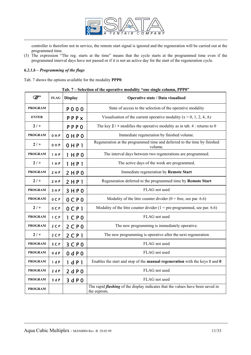

controller is therefore not in service, the remote start signal is ignored and the regeneration will be carried out at the programmed time.

(3) The expression "The reg. starts at the time" means that the cycle starts at the programmed time even if the programmed interval days have not passed or if it is not an active day for the start of the regeneration cycle.

## *6.2.1.b – Programming of the flags*

Tab. 7 shows the options available for the modality **PPP0**:

|  |  |  |  |  |  | Tab. 7 – Selection of the operative modality "one single column, PPP0" |
|--|--|--|--|--|--|------------------------------------------------------------------------|
|--|--|--|--|--|--|------------------------------------------------------------------------|

| ☞              | <b>FLAG</b>    | <b>Display</b>      | Operative state / Data visualised                                                                    |  |  |
|----------------|----------------|---------------------|------------------------------------------------------------------------------------------------------|--|--|
| <b>PROGRAM</b> |                | P 0 0 0             | State of access to the selection of the operative modality                                           |  |  |
| <b>ENTER</b>   |                | PPPX                | Visualisation of the current operative modality $(x = 0, 1, 2, 4, A)$                                |  |  |
| $2/$ +         |                | <b>PPPO</b>         | The key $2/$ + modifies the operative modality as in tab. 4 : returns to 0                           |  |  |
| <b>PROGRAM</b> | 0HP            | 0 H P 0             | Immediate regeneration by finished volume.                                                           |  |  |
| $2/+$          | 0 H P          | 0 H P 1             | Regeneration at the programmed time and deferred to the time by finished<br>volume.                  |  |  |
| <b>PROGRAM</b> | 1 H P          | 1 H P 0             | The interval days between two regenerations are programmed.                                          |  |  |
| $2/+$          | 1 H P          | 1 H P 1             | The active days of the week are programmed.                                                          |  |  |
| <b>PROGRAM</b> | 2 H P          | 2 H P 0             | Immediate regeneration by Remote Start                                                               |  |  |
| $2/ +$         | 2 H P          | 2 HPI               | Regeneration deferred to the programmed time by Remote Start                                         |  |  |
| <b>PROGRAM</b> | 3 H P          | 3 H P 0             | FLAG not used                                                                                        |  |  |
| <b>PROGRAM</b> | 0CP            | $0$ CPO             | Modality of the litre counter divider ( $0 =$ free, see par. 6.6)                                    |  |  |
| $2/$ +         | 0CP            | $0$ CP <sub>1</sub> | Modality of the litre counter divider $(1 = pre-programmed, see par. 6.6)$                           |  |  |
| <b>PROGRAM</b> | 1 <sup>C</sup> | 1CP0                | FLAG not used                                                                                        |  |  |
| <b>PROGRAM</b> | $2C$ P         | 2CP0                | The new programming is immediately operative.                                                        |  |  |
| $2/ +$         | $2C$ P         | $2$ CP <sub>1</sub> | The new programming is operative after the next regeneration                                         |  |  |
| <b>PROGRAM</b> | 3CP            | 3CP0                | FLAG not used                                                                                        |  |  |
| <b>PROGRAM</b> | 0 dP           | 0 dP0               | FLAG not used                                                                                        |  |  |
| <b>PROGRAM</b> | 1 dP           | 1 dP1               | Enables the start and stop of the manual regeneration with the keys 1 and 0                          |  |  |
| <b>PROGRAM</b> | 2dP            | 2 dP0               | FLAG not used                                                                                        |  |  |
| <b>PROGRAM</b> | 3dP            | 3 d P 0             | FLAG not used                                                                                        |  |  |
| <b>PROGRAM</b> |                |                     | The rapid <i>flashing</i> of the display indicates that the values have been saved in<br>the eeprom. |  |  |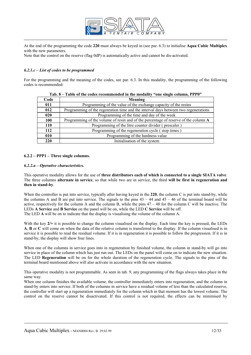

At the end of the programming the code **220** must always be keyed in (see par. 6.3) to initialise **Aqua Cubic Multiplex** with the new parameters.

Note that the control on the reserve (flag 0dP) is automatically active and cannot be dis-activated.

#### *6.2.1.c – List of codes to be programmed*

For the programming and the meaning of the codes, see par. 6.3. In this modality, the programming of the following codes is recommended:

| Code | Meaning                                                                             |
|------|-------------------------------------------------------------------------------------|
| 011  | Programming of the value of the exchange capacity of the resins                     |
| 012  | Programming of the regenration time and the interval days between two regenerations |
| 020  | Programming of the time and day of the week                                         |
| 100  | Programming of the volume of resin and of the percentage of reserve of the column A |
| 110  | Programming of the litre counter divider (prescaler)                                |
| 112  | Programming of the regeneration cycle (stop times)                                  |
| 010  | Programming of the hardness value                                                   |
| 220  | Initialisation of the system                                                        |

#### **Tab. 8 – Table of the codes recommended in the modality "one single column, PPP0"**

#### **6.2.2 – PPP1 – Three single columns.**

#### *6.2.2.a – Operative characteristics.*

This operative modality allows for the use of **three distributors each of which is connected to a single SIATA valve**. The three columns **alternate in service**, so that while two are in service, the third **will be first in regeneration and then in stand-by**.

When the controller is put into service, typically after having keyed in the **220**, the column C is put into stand-by, while the columns A and B are put into service. The signals to the pins  $43 - 44$  and  $45 - 46$  of the terminal board will be active, respectively for the column A and the column B, while the pins 47 – 48 for the column C will be inactive. The LEDs **A Service** and **B Service** on the panel will be on, while the LED **C Service** will be off. The LED **A** will be on to indicate that the display is visualising the volume of the column A.

With the key  $2/+$  it is possible to change the column visualised on the display. Each time the key is pressed, the LEDs **A**, **B** or **C** will come on when the data of the relative column is transferred to the display. If the column visualised is in service it is possible to read the residual volume. If it is in regeneration it is possible to follow the progression. If it is in stand-by, the display will show four lines.

When one of the columns in service goes into in regeneration by finished volume, the column in stand-by will go into service in place of the column which has just run out. The LEDs on the panel will come on to indicate the new situation. The LED **Regeneration** will be on for the whole duration of the regeneration cycle. The signals to the pins of the terminal board mentioned above will also activate in accordance with the new situation.

This operative modality is not programmable. As seen in tab. 9, any programming of the flags always takes place in the same way.

When one column finishes the available volume, the controller immediately enters into regeneration, and the column in stand-by enters into service. If both of the columns in service have a residual volume of less than the calculated reserve, the controller will start up a regeneration immediately for the column which in that moment has the lowest volume. The control on the reserve cannot be disactivated. If this control is not required, the effects can be minimised by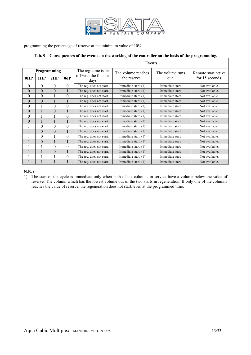

programming the percentage of reserve at the minimum value of 10%.

# **Tab. 9 – Consequences of the events on the working of the controller on the basis of the programming.**

|             |          |          |          | <b>Events</b>                  |                        |                  |                     |  |  |
|-------------|----------|----------|----------|--------------------------------|------------------------|------------------|---------------------|--|--|
| Programming |          |          |          | The reg. time is set           | The volume reaches     | The volume runs  | Remote start active |  |  |
| 0HP         | 1HP      | 2HP      | 0dP      | off with the finished<br>days. | the reserve.           | out.             | for 15 seconds.     |  |  |
| $\Omega$    | $\Omega$ | $\Omega$ | $\theta$ | The reg. does not start.       | Immediate start. (1)   | Immediate start. | Not available.      |  |  |
| $\theta$    | $\theta$ | $\theta$ |          | The reg. does not start.       | Immediate start. (1)   | Immediate start. | Not available.      |  |  |
| $\theta$    | $\theta$ |          | $\theta$ | The reg. does not start.       | Immediate start. (1)   | Immediate start. | Not available.      |  |  |
| $\Omega$    | $\theta$ |          |          | The reg. does not start.       | Immediate start. $(1)$ | Immediate start. | Not available.      |  |  |
| $\theta$    |          | $\theta$ | $\theta$ | The reg. does not start.       | Immediate start. (1)   | Immediate start. | Not available.      |  |  |
| $\theta$    |          | $\theta$ |          | The reg. does not start.       | Immediate start. $(1)$ | Immediate start. | Not available.      |  |  |
| $\theta$    |          |          | $\theta$ | The reg. does not start.       | Immediate start. (1)   | Immediate start. | Not available.      |  |  |
| $\theta$    |          |          |          | The reg. does not start.       | Immediate start. (1)   | Immediate start. | Not available.      |  |  |
|             | $\theta$ | $\theta$ | $\theta$ | The reg. does not start.       | Immediate start. (1)   | Immediate start. | Not available.      |  |  |
|             | $\theta$ | $\theta$ |          | The reg. does not start.       | Immediate start. (1)   | Immediate start. | Not available.      |  |  |
|             | $\theta$ |          | $\theta$ | The reg. does not start.       | Immediate start. (1)   | Immediate start. | Not available.      |  |  |
|             | $\theta$ |          |          | The reg. does not start.       | Immediate start. $(1)$ | Immediate start. | Not available.      |  |  |
|             |          | $\theta$ | $\theta$ | The reg. does not start.       | Immediate start. (1)   | Immediate start. | Not available.      |  |  |
|             |          | $\theta$ |          | The reg. does not start.       | Immediate start. (1)   | Immediate start. | Not available.      |  |  |
|             |          |          | $\theta$ | The reg. does not start.       | Immediate start. (1)   | Immediate start. | Not available.      |  |  |
|             |          |          |          | The reg. does not start.       | Immediate start. (1)   | Immediate start. | Not available.      |  |  |

**N.B. :**

1) The start of the cycle is immediate only when both of the columns in service have a volume below the value of reserve. The column which has the lowest volume out of the two starts in regeneration. If only one of the columns reaches the value of reserve, the regeneration does not start, even at the programmed time.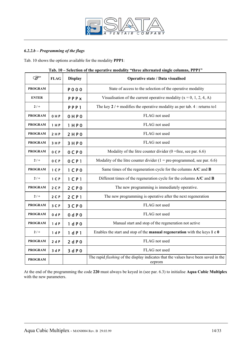

## *6.2.2.b – Programming of the flags*

Tab. 10 shows the options available for the modality **PPP1**:

| <b>PED</b>     | <b>FLAG</b>    | <b>Display</b>      | selection of the operative modality<br>Operative state / Data visualised                            |  |
|----------------|----------------|---------------------|-----------------------------------------------------------------------------------------------------|--|
| <b>PROGRAM</b> |                | <b>PO00</b>         | State of access to the selection of the operative modality                                          |  |
| <b>ENTER</b>   |                | PPPX                | Visualisation of the current operative modality ( $x = 0, 1, 2, 4, A$ )                             |  |
| $2/+$          |                | PPP <sub>1</sub>    | The key $2 / +$ modifies the operative modality as per tab. 4 : returns to 1                        |  |
| <b>PROGRAM</b> | 0HP            | 0 H P 0             | FLAG not used                                                                                       |  |
| <b>PROGRAM</b> | 1 H P          | 1 H P 0             | FLAG not used                                                                                       |  |
| <b>PROGRAM</b> | 2 H P          | 2HP0                | FLAG not used                                                                                       |  |
| <b>PROGRAM</b> | 3 H P          | 3HP0                | FLAG not used                                                                                       |  |
| <b>PROGRAM</b> | 0CP            | $0C$ $P0$           | Modality of the litre counter divider $(0 =$ free, see par. 6.6)                                    |  |
| $2/+$          | 0 <sub>C</sub> | 0 <sub>CP</sub> 1   | Modality of the litre counter divider $(1 = pre-programmed, see par. 6.6)$                          |  |
| <b>PROGRAM</b> | 1 <sup>C</sup> | 1 <sup>C</sup> P 0  | Same times of the regeneration cycle for the columns A/C and B                                      |  |
| $2/+$          | 1 <sup>C</sup> | $1$ CP <sub>1</sub> | Different times of the regeneration cycle for the columns A/C and B                                 |  |
| <b>PROGRAM</b> | $2C$ P         | 2CP0                | The new programming is immediately operative.                                                       |  |
| $2/+$          | $2C$ P         | $2$ C P 1           | The new programming is operative after the next regeneration                                        |  |
| <b>PROGRAM</b> | 3 C P          | 3CP0                | FLAG not used                                                                                       |  |
| <b>PROGRAM</b> | 0 dP           | 0 dP0               | FLAG not used                                                                                       |  |
| <b>PROGRAM</b> | 1 dP           | 1 dP0               | Manual start and stop of the regeneration not active                                                |  |
| $2/+$          | 1 dP           | 1 dP1               | Enables the start and stop of the <b>manual regeneration</b> with the keys $1 \neq 0$               |  |
| <b>PROGRAM</b> | 2dP            | 2dP0                | FLAG not used                                                                                       |  |
| <b>PROGRAM</b> | 3dP            | 3 d P 0             | FLAG not used                                                                                       |  |
| <b>PROGRAM</b> |                |                     | The rapid <i>flashing</i> of the display indicates that the values have been saved in the<br>eeprom |  |

**Tab. 10 – Selection of the operative modality "three alternated single columns, PPP1"** 

At the end of the programming the code **220** must always be keyed in (see par. 6.3) to initialise **Aqua Cubic Multiplex** with the new parameters.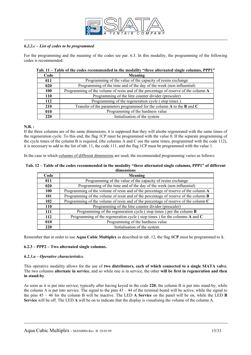

#### *6.2.2.c – List of codes to be programmed*

For the programming and the meaning of the codes see par. 6.3. In this modality, the programming of the following codes is recommended:

| Code | Meaning                                                                             |  |  |
|------|-------------------------------------------------------------------------------------|--|--|
| 011  | Programming of the value of the capacity of resins exchange                         |  |  |
| 020  | Programming of the time and of the day of the week (non influential)                |  |  |
| 100  | Programming of the volume of resin and of the percentage of reserve of the column A |  |  |
| 110  | Programming of the litre counter divider (prescaler)                                |  |  |
| 112  | Programming of the regeneration cycle (stop times).                                 |  |  |
| 210  | Transfer of the parameters programmed for the column $A$ to the $B$ and $C$         |  |  |
| 010  | Programming of the hardness value                                                   |  |  |
| 220  | Initialisation of the system                                                        |  |  |

#### **Tab. 11 – Table of the codes recommended in the modality "three alternated single columns, PPP1"**

#### **N.B. :**

If the three columns are of the same dimensions, it is supposed that they will alsobe regenerated with the same times of the regeneration cycle. To this end, the flag 1CP must be programmed with the value 0. If the separate programming of the cycle times of the column B is required, (the columns A and C use the same times, programmed with the code 112), it is necessary to add to the list of tab. 11, the code 111, and the flag 1CP must be programmed with the value 1.

In the case in which columns of different dimensions are used, the recommended programming varies as follows:

#### **Tab. 12 – Table of the codes recommended in the modality "three alternated single columns, PPP1" of different dimensions**

| Code       | Meaning                                                                                    |
|------------|--------------------------------------------------------------------------------------------|
| 011        | Programming of the value of the capacity of resins exchange                                |
| 020        | Programming of the time and of the day of the week (non influential)                       |
| 100        | Programming of the volume of resin and of the percentage of reserve of the column A        |
| 101        | Programming of the volume of resin and of the percentage of reserve of the column <b>B</b> |
| 102        | Programming of the volume of resin and of the percentage of reserve of the column C        |
| <b>110</b> | Programming of the litre counter divider (prescaler)                                       |
| 111        | Programming of the regeneration cycle (stop times) per the column $\bf{B}$                 |
| 112        | Programming of the regeneration cycle (stop times) for the columns $A$ and $C$             |
| 010        | Programming of the hardness value                                                          |
| 220        | Initialisation of the system                                                               |

Remember that in order to use **Aqua Cubic Multiplex** as described in tab. 12, the flag **1CP** must be programmed to **1.**

#### **6.2.3 – PPP2 – Two alternated single columns.**

#### *6.2.3.a – Operative characteristics.*

This operative modality allows for the use of **two distributors, each of which connected to a single SIATA valve.**  The two columns **alternate in service**, and so while one is in service, the other **will be first in regeneration and then in stand-by**.

As soon as it is put into service, typically after having keyed in the code **220**, the column B is put into stand-by, while the column A is put into service. The signal to the pins  $43 - 44$  of the terminal board will be active, while the signal to the pins 45 – 46 for the column B will be inactive. The LED **A Service** on the panel will be on, while the LED **B Service** will be off. The LED **A** will be on to indicate that the display is visualising the volume of the column A.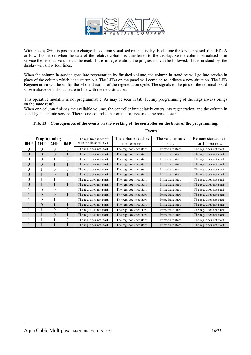

With the key  $2/$ + it is possible to change the column visualised on the display. Each time the key is pressed, the LEDs **A** or **B** will come on when the data of the relative column is transferred to the display. Se the column visualised is in service the residual volume can be read. If it is in regeneration, the progression can be followed. If it is in stand-by, the display will show four lines.

When the column in service goes into regeneration by finished volume, the column in stand-by will go into service in place of the column which has just run out. The LEDs on the panel will come on to indicate a new situation. The LED **Regeneration** will be on for the whole duration of the regeneration cycle. The signals to the pins of the terminal board shown above will also activate in line with the new situation.

This operative modality is not programmable. As may be seen in tab. 13, any programming of the flags always brings on the same result.

When one column finishes the available volume, the controller immediately enters into regeneration, and the column in stand-by enters into service. There is no control either on the reserve or on the remote start.

|          |                |          |          |                          | <b>Events</b>            |                  |                          |
|----------|----------------|----------|----------|--------------------------|--------------------------|------------------|--------------------------|
|          | Programming    |          |          | The reg. time is set off | The volume reaches       | The volume runs  | Remote start active      |
| 0HP      | 1HP            | 2HP      | 0dP      | with the finished days.  | the reserve.             | out.             | for 15 seconds.          |
| $\theta$ | 0              | $\theta$ | $\Omega$ | The reg. does not start. | The reg. does not start. | Immediate start. | The reg. does not start. |
| $\Omega$ | $\theta$       | $\theta$ |          | The reg. does not start. | The reg. does not start. | Immediate start. | The reg. does not start. |
| $\theta$ | $\theta$       |          | $\theta$ | The reg. does not start. | The reg. does not start. | Immediate start. | The reg. does not start. |
| $\theta$ | $\overline{0}$ |          |          | The reg. does not start. | The reg. does not start. | Immediate start. | The reg. does not start. |
| $\theta$ |                | $\theta$ | $\theta$ | The reg. does not start. | The reg. does not start. | Immediate start. | The reg. does not start. |
| $\theta$ |                | $\theta$ |          | The reg. does not start. | The reg. does not start. | Immediate start. | The reg. does not start. |
| $\theta$ |                |          | $\theta$ | The reg. does not start. | The reg. does not start. | Immediate start. | The reg. does not start. |
| $\theta$ |                |          |          | The reg. does not start. | The reg. does not start. | Immediate start. | The reg. does not start. |
|          | 0              | $\theta$ | $\theta$ | The reg. does not start. | The reg. does not start. | Immediate start. | The reg. does not start. |
| 1        | $\theta$       | $\theta$ |          | The reg. does not start. | The reg. does not start. | Immediate start. | The reg. does not start. |
|          | $\theta$       |          | $\theta$ | The reg. does not start. | The reg. does not start. | Immediate start. | The reg. does not start. |
|          | $\theta$       |          |          | The reg. does not start. | The reg. does not start. | Immediate start. | The reg. does not start. |
|          |                | $\theta$ | $\theta$ | The reg. does not start. | The reg. does not start. | Immediate start. | The reg. does not start. |
| 1        |                | $\theta$ |          | The reg. does not start. | The reg. does not start. | Immediate start. | The reg. does not start. |
|          |                |          | $\theta$ | The reg. does not start. | The reg. does not start. | Immediate start. | The reg. does not start. |
| 1        |                |          |          | The reg. does not start. | The reg. does not start. | Immediate start. | The reg. does not start. |

|  | Tab. 13 – Consequences of the events on the working of the controller on the basis of the programming. |  |
|--|--------------------------------------------------------------------------------------------------------|--|
|  |                                                                                                        |  |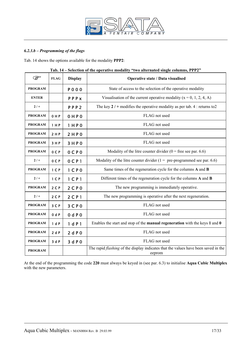

## *6.2.3.b – Programming of the flags*

Tab. 14 shows the options available for the modality **PPP2**:

|                |                |                     | $\sim$ . The deterministic constant $\sim$ and the matter single committed for $\sim$               |  |
|----------------|----------------|---------------------|-----------------------------------------------------------------------------------------------------|--|
| ఞ              | <b>FLAG</b>    | <b>Display</b>      | Operative state / Data visualised                                                                   |  |
| <b>PROGRAM</b> |                | <b>PO00</b>         | State of access to the selection of the operative modality                                          |  |
| <b>ENTER</b>   |                | PPPx                | Visualisation of the current operative modality $(x = 0, 1, 2, 4, A)$                               |  |
| $2/+$          |                | PPP <sub>2</sub>    | The key $2 / +$ modifies the operative modality as per tab. 4 : returns to 2                        |  |
| <b>PROGRAM</b> | 0HP            | 0 H P 0             | FLAG not used                                                                                       |  |
| <b>PROGRAM</b> | 1 H P          | 1 H P 0             | FLAG not used                                                                                       |  |
| <b>PROGRAM</b> | 2 H P          | 2HP0                | FLAG not used                                                                                       |  |
| <b>PROGRAM</b> | 3 H P          | 3HP0                | FLAG not used                                                                                       |  |
| <b>PROGRAM</b> | 0 C P          | 0 C P 0             | Modality of the litre counter divider ( $0 =$ free see par. 6.6)                                    |  |
| $2/+$          | 0CP            | 0 <sub>CP</sub> 1   | Modality of the litre counter divider ( $1 =$ pre-programmed see par. 6.6)                          |  |
| <b>PROGRAM</b> | 1 <sub>C</sub> | 1 <sub>C</sub> P 0  | Same times of the regeneration cycle for the columns A and B                                        |  |
| $2/+$          | 1 <sup>C</sup> | $1$ CP <sub>1</sub> | Different times of the regeneration cycle for the columns A and B                                   |  |
| <b>PROGRAM</b> | $2C$ P         | 2 <sup>C</sup> P 0  | The new programming is immediately operative.                                                       |  |
| $2/+$          | 2 <sub>C</sub> | $2$ C P 1           | The new programming is operative after the next regeneration.                                       |  |
| <b>PROGRAM</b> | 3 C P          | 3CP0                | FLAG not used                                                                                       |  |
| <b>PROGRAM</b> | 0 dP           | 0 dP0               | FLAG not used                                                                                       |  |
| <b>PROGRAM</b> | 1 dP           | 1 dP1               | Enables the start and stop of the manual regeneration with the keys 1 and 0                         |  |
| <b>PROGRAM</b> | 2dP            | 2 dP0               | FLAG not used                                                                                       |  |
| <b>PROGRAM</b> | 3dP            | 3 d P 0             | FLAG not used                                                                                       |  |
| <b>PROGRAM</b> |                |                     | The rapid <i>flashing</i> of the display indicates that the values have been saved in the<br>eeprom |  |

**Tab. 14 – Selection of the operative modality "two alternated single columns, PPP2"** 

At the end of the programming the code **220** must always be keyed in (see par. 6.3) to initialise **Aqua Cubic Multiplex** with the new parameters.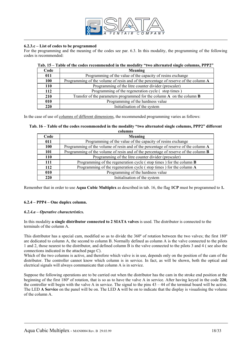

#### **6.2.3.c – List of codes to be programmed**

For the programming and the meaning of the codes see par. 6.3. In this modality, the programming of the following codes is recommended:

#### **Tab. 15 – Table of the codes recommended in the modality "two alternated single columns, PPP2"**

| Code | Meaning                                                                             |
|------|-------------------------------------------------------------------------------------|
| 011  | Programming of the value of the capacity of resins exchange                         |
| 100  | Programming of the volume of resin and of the percentage of reserve of the column A |
| 110  | Programming of the litre counter divider (prescaler)                                |
| 112  | Programming of the regeneration cycle (stop times)                                  |
| 210  | Transfer of the parameters programmed for the column $A$ on the column $B$          |
| 010  | Programming of the hardness value                                                   |
| 220  | Initialisation of the system                                                        |

In the case of use of columns of different dimensions, the recommended programming varies as follows:

#### **Tab. 16 – Table of the codes recommended in the modality "two alternated single columns, PPP2" different columns**

| Code       | Meaning                                                                                    |
|------------|--------------------------------------------------------------------------------------------|
| 011        | Programming of the value of the capacity of resins exchange                                |
| <b>100</b> | Programming of the volume of resin and of the percentage of reserve of the column A        |
| <b>101</b> | Programming of the volume of resin and of the percentage of reserve of the column <b>B</b> |
| 110        | Programming of the litre counter divider (prescaler)                                       |
| 111        | Programming of the regeneration cycle (stop times) for the column <b>B</b>                 |
| 112        | Programming of the regeneration cycle (stop times) for the column A                        |
| 010        | Programming of the hardness value                                                          |
| 220        | Initialisation of the system                                                               |

Remember that in order to use **Aqua Cubic Multiplex** as described in tab. 16, the flag **1CP** must be programmed to **1.** 

#### **6.2.4 – PPP4 – One duplex column.**

#### *6.2.4.a – Operative characteristics.*

In this modality **a single distributor connected to 2 SIATA valves** is used. The distributor is connected to the terminals of the column A.

This distributor has a special cam, modified so as to divide the 360º of rotation between the two valves; the first 180º are dedicated to column A, the second to column B. Normally defined as column A is the valve connected to the pilots 1 and 2, those nearest to the distributor, and defined column B is the valve connected to the pilots 3 and 4 ( see also the connections indicated in the attached page C).

Which of the two columns is active, and therefore which valve is in use, depends only on the position of the cam of the distributor. The controller cannot know which column is in service. In fact, as will be shown, both the optical and electrical signals will always communicate that column A is in service.

Suppose the following operations are to be carried out when the distributor has the cam in the stroke end position at the beginning of the first 180º of rotation, that is so as to have the valve A in service. After having keyed in the code **220**, the controller will begin with the valve A in service. The signal to the pins 43 – 44 of the terminal board will be active. The LED **A Service** on the panel will be on. The LED **A** will be on to indicate that the display is visualising the volume of the column A.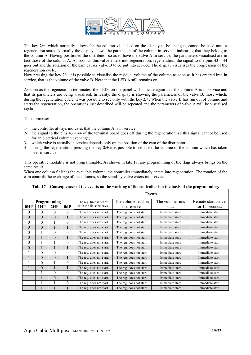

The key **2/+**, which normally allows for the column visualised on the display to be changed, cannot be used until a regeneration starts. Normally the display shows the parameters of the column in service, indicating that they belong to the column A. Having positioned the distributor so as to have the valve A in service, the parameters visualised are in fact those of the column A. As soon as this valve enters into regeneration, regeneration, the signal to the pins  $43 - 44$ goes out and the rotation of the cam causes valve B to be put into service. The display visualises the progression of the regeneration cycle.

Now pressing the key **2/+** it is possible to visualise the residual volume of the column as soon as it has entered into in service, that is the volume of the valve B. Note that the LED **A** still remains on.

As soon as the regeneration terminates, the LEDs on the panel will indicate again that the column A is in service and that its parameters are being visualised. In reality, the display is showing the parameters of the valve B, those which, during the regeneration cycle, it was possible to see only with the key **2/+**. When the valve B has run out of volume and starts the regeneration, the operations just described will be repeated and the parameters of valve A will be visualised again.

To summarise:

- 1- the controller always indicates that the column A is in service;
- 2- the signal to the pins 43 44 of the terminal board goes off during the regeneration, so this signal cannot be used for an electrical column exchange;
- 3- which valve is actually in service depends only on the position of the cam of the distributor;
- 4- during the regeneration, pressing the key **2/+** it is possible to visualise the volume of the column which has taken over in service.

This operative modality is not programmable. As shown in tab. 17, any programming of the flags always brings on the same result.

When one column finishes the available volume, the controller immediately enters into regeneration. The rotation of the cam controls the exchange of the columns, so the stand-by valve enters into service.

|                  |                |                |          |                          | <b>Events</b>            |                  |                     |
|------------------|----------------|----------------|----------|--------------------------|--------------------------|------------------|---------------------|
|                  |                | Programming    |          | The reg. time is set off | The volume reaches       | The volume runs  | Remote start active |
| 0HP              | 1HP            | 2HP            | 0dP      | with the finished days.  | the reserve.             | out.             | for 15 seconds.     |
| $\theta$         | $\theta$       | $\theta$       | $\Omega$ | The reg. does not start. | The reg. does not start. | Immediate start. | Immediate start.    |
| $\theta$         | $\theta$       | $\theta$       |          | The reg. does not start. | The reg. does not start. | Immediate start. | Immediate start.    |
| $\theta$         | $\overline{0}$ |                | $\Omega$ | The reg. does not start. | The reg. does not start. | Immediate start. | Immediate start.    |
| $\theta$         | $\theta$       |                |          | The reg. does not start. | The reg. does not start. | Immediate start. | Immediate start.    |
| $\theta$         |                | $\theta$       | $\theta$ | The reg. does not start. | The reg. does not start. | Immediate start. | Immediate start.    |
| $\boldsymbol{0}$ |                | $\overline{0}$ |          | The reg. does not start. | The reg. does not start. | Immediate start. | Immediate start.    |
| $\theta$         |                |                | $\Omega$ | The reg. does not start. | The reg. does not start. | Immediate start. | Immediate start.    |
| $\theta$         |                |                |          | The reg. does not start. | The reg. does not start. | Immediate start. | Immediate start.    |
|                  | $\theta$       | $\theta$       | $\Omega$ | The reg. does not start. | The reg. does not start. | Immediate start. | Immediate start.    |
|                  | $\theta$       | $\theta$       |          | The reg. does not start. | The reg. does not start. | Immediate start. | Immediate start.    |
|                  | $\theta$       |                | $\Omega$ | The reg. does not start. | The reg. does not start. | Immediate start. | Immediate start.    |
|                  | $\Omega$       |                |          | The reg. does not start. | The reg. does not start. | Immediate start. | Immediate start.    |
|                  |                | $\theta$       | $\theta$ | The reg. does not start. | The reg. does not start. | Immediate start. | Immediate start.    |
|                  |                | $\theta$       |          | The reg. does not start. | The reg. does not start. | Immediate start. | Immediate start.    |
|                  |                |                | $\theta$ | The reg. does not start. | The reg. does not start. | Immediate start. | Immediate start.    |
|                  |                |                |          | The reg. does not start. | The reg. does not start. | Immediate start. | Immediate start.    |

**Tab. 17 – Consequences of the events on the working of the controller ion the basis of the programming.**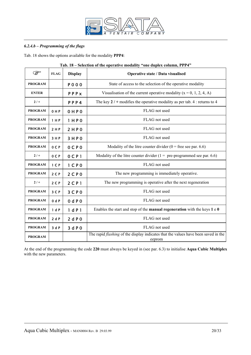

## *6.2.4.b – Programming of the flags*

Tab. 18 shows the options available for the modality **PPP4**:

| <b>PED</b>     | <b>FLAG</b>    | <b>Display</b>      | Operative state / Data visualised                                                                   |  |
|----------------|----------------|---------------------|-----------------------------------------------------------------------------------------------------|--|
| <b>PROGRAM</b> |                | <b>POOO</b>         | State of access to the selection of the operative modality                                          |  |
| <b>ENTER</b>   |                | PPPX                | Visualisation of the current operative modality $(x = 0, 1, 2, 4, A)$                               |  |
| $2/+$          |                | PPP4                | The key $2 / +$ modifies the operative modality as per tab. 4 : returns to 4                        |  |
| <b>PROGRAM</b> | 0 H P          | 0 H P 0             | FLAG not used                                                                                       |  |
| <b>PROGRAM</b> | 1 H P          | 1 H P 0             | FLAG not used                                                                                       |  |
| <b>PROGRAM</b> | 2 H P          | 2HP0                | FLAG not used                                                                                       |  |
| <b>PROGRAM</b> | 3 H P          | 3HP0                | FLAG not used                                                                                       |  |
| <b>PROGRAM</b> | 0CP            | $0C$ $P0$           | Modality of the litre counter divider $(0 =$ free see par. 6.6)                                     |  |
| $2/+$          | OCP            | $0C$ $P1$           | Modality of the litre counter divider $(1 = pre-programmed$ see par. 6.6)                           |  |
| <b>PROGRAM</b> | 1 <sup>C</sup> | 1 <sub>C</sub> P 0  | FLAG not used                                                                                       |  |
| <b>PROGRAM</b> | 2 <sub>C</sub> | 2CP0                | The new programming is immediately operative.                                                       |  |
| $2/+$          | $2C$ P         | $2$ CP <sub>1</sub> | The new programming is operative after the next regeneration                                        |  |
| <b>PROGRAM</b> | 3 C P          | 3 <sup>C</sup> P 0  | FLAG not used                                                                                       |  |
| <b>PROGRAM</b> | 0 dP           | 0 dP0               | FLAG not used                                                                                       |  |
| <b>PROGRAM</b> | 1 dP           | 1 dP1               | Enables the start and stop of the <b>manual regeneration</b> with the keys $1 \neq 0$               |  |
| <b>PROGRAM</b> | 2dP            | 2 dP0               | FLAG not used                                                                                       |  |
| <b>PROGRAM</b> | 3 dP           | 3 d P 0             | FLAG not used                                                                                       |  |
| <b>PROGRAM</b> |                |                     | The rapid <i>flashing</i> of the display indicates that the values have been saved in the<br>eeprom |  |

#### **Tab. 18 – Selection of the operative modality "one duplex column, PPP4"**

At the end of the programming the code **220** must always be keyed in (see par. 6.3) to initialise **Aqua Cubic Multiplex** with the new parameters.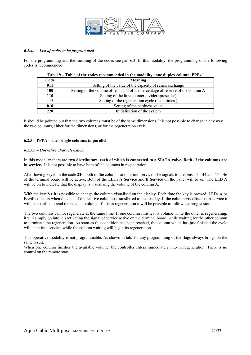

#### *6.2.4.c – List of codes to be programmed*

For the programming and the meaning of the codes see par. 6.3. In this modality, the programming of the following codes is recommended:

| Code | Meaning                                                                         |  |
|------|---------------------------------------------------------------------------------|--|
| 011  | Setting of the value of the capacity of resins exchange                         |  |
| 100  | Setting of the volume of resin and of the percentage of reserve of the column A |  |
| 110  | Setting of the litre counter divider (prescaler)                                |  |
| 112  | Setting of the regeneration cycle (stop times)                                  |  |
| 010  | Setting of the hardness value                                                   |  |
| 220  | Initialisation of the system                                                    |  |

| Tab. 19 – Table of the codes recommended in the modality "one duplex column, PPP4" |
|------------------------------------------------------------------------------------|
|------------------------------------------------------------------------------------|

It should be pointed out that the two columns **must** be of the same dimensions. It is not possible to change in any way the two columns, either for the dimensions, or for the regeneration cycle.

#### **6.2.5 – PPPA – Two single columns in parallel**

#### *6.2.5.a – Operative characteristics.*

In this modality there are **two distributors, each of which is connected to a SIATA valve. Both of the columns are in service.**. It is not possible to have both of the columns in regeneration.

After having keyed in the code 220, both of the columns are put into service. The signals to the pins  $43 - 44$  and  $45 - 46$ of the terminal board will be active. Both of the LEDs **A Service** and **B Service** on the panel will be on. The LED **A** will be on to indicate that the display is visualising the volume of the column A.

With the key **2/+** it is possible to change the column visualised on the display. Each time the key is pressed, LEDs **A** or **B** will come on when the data of the relative column is transferred to the display. If the column visualised is in service it will be possible to read the residual volume. If it is in regeneration it will be possible to follow the progression.

The two columns cannot regenerate at the same time. If one column finishes its volume while the other is regenerating, it will simply go into, disactivating the signal of service active on the terminal board, while waiting for the other column to terminate the regeneration. As soon as this condition has been reached, the column which has just finished the cycle will enter into service, while the column waiting will begin its regeneration.

This operative modality is not programmable. As shown in tab. 20, any programming of the flags always brings on the same result.

When one column finishes the available volume, the controller enters immediately into in regeneration. There is no control on the remote start.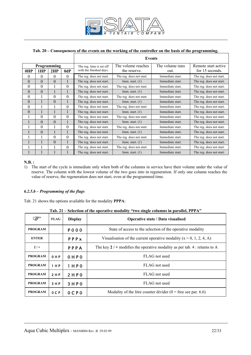

# **Tab. 20 – Consequences of the events on the working of the controller on the basis of the programming.**

|             |                |                |          |                          | <b>Events</b>            |                  |                          |
|-------------|----------------|----------------|----------|--------------------------|--------------------------|------------------|--------------------------|
| Programming |                |                |          | The reg. time is set off | The volume reaches       | The volume runs  | Remote start active      |
| 0HP         | 1HP            | 2HP            | 0dP      | with the finished days.  | the reserve.             | out.             | for 15 seconds.          |
| $\theta$    | $\theta$       | $\theta$       | $\theta$ | The reg. does not start. | The reg. does not start. | Immediate start. | The reg. does not start. |
| $\theta$    | $\theta$       | $\theta$       |          | The reg. does not start. | Imm. start. $(1)$        | Immediate start. | The reg. does not start. |
| $\theta$    | $\theta$       |                | $\Omega$ | The reg. does not start. | The reg. does not start. | Immediate start. | The reg. does not start. |
| $\theta$    | $\theta$       |                |          | The reg. does not start. | Imm. start. $(1)$        | Immediate start. | The reg. does not start. |
| $\theta$    |                | $\theta$       | $\Omega$ | The reg. does not start. | The reg. does not start. | Immediate start. | The reg. does not start. |
| $\theta$    |                | $\theta$       |          | The reg. does not start. | Imm. start. $(1)$        | Immediate start. | The reg. does not start. |
| $\theta$    |                |                | $\Omega$ | The reg. does not start. | The reg. does not start. | Immediate start. | The reg. does not start. |
| $\Omega$    |                |                |          | The reg. does not start. | Imm. start. $(1)$        | Immediate start. | The reg. does not start. |
|             | $\Omega$       | $\theta$       | $\theta$ | The reg. does not start. | The reg. does not start. | Immediate start. | The reg. does not start. |
|             | $\theta$       | $\theta$       |          | The reg. does not start. | Imm. start. $(1)$        | Immediate start. | The reg. does not start. |
|             | $\theta$       |                | $\Omega$ | The reg. does not start. | The reg. does not start. | Immediate start. | The reg. does not start. |
|             | $\overline{0}$ |                |          | The reg. does not start. | Imm. start. $(1)$        | Immediate start. | The reg. does not start. |
|             |                | $\theta$       | $\Omega$ | The reg. does not start. | The reg. does not start. | Immediate start. | The reg. does not start. |
|             |                | $\overline{0}$ |          | The reg. does not start. | Imm. start. $(1)$        | Immediate start. | The reg. does not start. |
|             |                |                | $\Omega$ | The reg. does not start. | The reg. does not start. | Immediate start. | The reg. does not start. |
|             |                |                |          | The reg. does not start. | Imm. start. $(1)$        | Immediate start. | The reg. does not start. |

#### **N.B. :**

1) The start of the cycle is immediate only when both of the columns in service have their volume under the value of reserve. The column with the lowest volume of the two goes into in regeneration. If only one column reaches the value of reserve, the regeneration does not start, even at the programmed time.

#### *6.2.5.b – Programming of the flags*

Tab. 21 shows the options available for the modality **PPPA**:

#### **Tab. 21 – Selection of the operative modality "two single columns in parallel, PPPA"**

| È              | <b>FLAG</b>    | <b>Display</b> | <b>Operative state / Data visualised</b>                                     |  |
|----------------|----------------|----------------|------------------------------------------------------------------------------|--|
| <b>PROGRAM</b> |                | <b>PO00</b>    | State of access to the selection of the operative modality                   |  |
| <b>ENTER</b>   |                | PPPX           | Visualisation of the current operative modality $(x = 0, 1, 2, 4, A)$        |  |
| $2/+$          |                | PPPA           | The key $2 / +$ modifies the operative modality as per tab. 4 : returns to A |  |
| <b>PROGRAM</b> | 0 H P          | $0$ HP $0$     | FLAG not used                                                                |  |
| <b>PROGRAM</b> | 1 H P          | 1 H P 0        | FLAG not used                                                                |  |
| <b>PROGRAM</b> | 2 H P          | 2 H P 0        | FLAG not used                                                                |  |
| <b>PROGRAM</b> | 3HP            | 3 H P 0        | FLAG not used                                                                |  |
| <b>PROGRAM</b> | 0 <sup>C</sup> | $0$ CPO        | Modality of the litre counter divider $(0 =$ free see par. 6.6)              |  |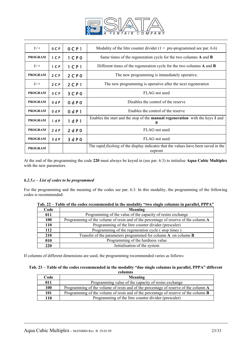

| $2/+$          | 0 <sub>C</sub> | $0$ CP <sub>1</sub>                                                     | Modality of the litre counter divider $(1 = pre-programmed$ see par. 6.6)                           |  |
|----------------|----------------|-------------------------------------------------------------------------|-----------------------------------------------------------------------------------------------------|--|
| <b>PROGRAM</b> | 1 <sup>C</sup> | $1$ C P 0                                                               | Same times of the regeneration cycle for the two columns A and B                                    |  |
| $2/+$          | 1 <sub>C</sub> | $1$ CP <sub>1</sub>                                                     | Different times of the regeneration cycle for the two columns A and B                               |  |
| <b>PROGRAM</b> | 2 <sub>C</sub> | $2$ C P 0                                                               | The new programming is immediately operative.                                                       |  |
| $2/ +$         | 2 <sub>C</sub> | The new programming is operative after the next regeneration<br>2 C P 1 |                                                                                                     |  |
| <b>PROGRAM</b> | 3 <sup>C</sup> | 3 <sup>C</sup> P 0                                                      | FLAG not used                                                                                       |  |
| <b>PROGRAM</b> | 0 dP           | 0 dP0                                                                   | Disables the control of the reserve                                                                 |  |
| <b>PROGRAM</b> | 0 dP           | 0 d P 1                                                                 | Enables the control of the reserve                                                                  |  |
| <b>PROGRAM</b> | 1 dP           | 1 dP1                                                                   | Enables the start and the stop of the <b>manual regeneration</b> with the keys 1 and<br>0           |  |
| <b>PROGRAM</b> | 2 dP           | 2 dP0                                                                   | FLAG not used                                                                                       |  |
| <b>PROGRAM</b> | 3 dP           | 3 dP0                                                                   | FLAG not used                                                                                       |  |
| <b>PROGRAM</b> |                |                                                                         | The rapid <i>flashing</i> of the display indicates that the values have been saved in the<br>eeprom |  |

At the end of the programming the code **220** must always be keyed in (see par. 6.3) to initialise **Aqua Cubic Multiplex** with the new parameters.

## *6.2.5.c – List of codes to be programmed*

For the programming and the meaning of the codes see par. 6.3. In this modality, the programming of the following codes is recommended:

| Code | Meaning                                                                             |  |  |  |
|------|-------------------------------------------------------------------------------------|--|--|--|
| 011  | Programming of the value of the capacity of resins exchange                         |  |  |  |
| 100  | Programming of the volume of resin and of the percentage of reserve of the column A |  |  |  |
| 110  | Programming of the litre counter divider (prescaler)                                |  |  |  |
| 112  | Programming of the regeneration cycle (stop times)                                  |  |  |  |
| 210  | Transfer of the parameters programmed for column $A$ on column $B$                  |  |  |  |
| 010  | Programming of the hardness value                                                   |  |  |  |
| 220  | Initialisation of the system                                                        |  |  |  |

| Tab. 22 – Table of the codes recommended in the modality "two single columns in parallel, PPPA" |
|-------------------------------------------------------------------------------------------------|
|-------------------------------------------------------------------------------------------------|

If columns of different dimensions are used, the programming recommended varies as follows:

#### **Tab. 23 – Table of the codes recommended in the modality "due single columns in parallel, PPPA" different columns**

| Code       | Meaning                                                                                    |  |
|------------|--------------------------------------------------------------------------------------------|--|
| 011        | Programming value of the capacity of resins exchange                                       |  |
| <b>100</b> | Programming of the volume of resin and of the percentage of reserve of the column A        |  |
| 101        | Programming of the volume of resin and of the percentage of reserve of the column <b>B</b> |  |
| 110        | Programming of the litre counter divider (prescaler)                                       |  |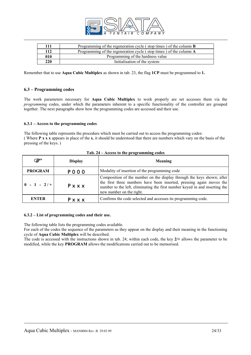

| 111 | Programming of the regeneration cycle (stop times) of the column $\bf{B}$ |
|-----|---------------------------------------------------------------------------|
| 112 | Programming of the regeneration cycle (stop times) of the column A        |
| 010 | Programming of the hardness value                                         |
| 220 | Initialisation of the system                                              |

Remember that to use **Aqua Cubic Multiplex** as shown in tab. 23, the flag **1CP** must be programmed to **1.**

#### **6.3 – Programming codes**

The work parameters necessary for **Aqua Cubic Multiplex** to work properly are set accesses them via the *programming* codes, under which the parameters inherent to a specific functionality of the controller are grouped together. The next paragraphs show how the programming codes are accessed and their use.

#### **6.3.1 – Access to the programming codes**

The following table represents the procedure which must be carried out to access the programming codes: ( Where **P x x x** appears in place of the **x**, it should be understood that there are numbers which vary on the basis of the pressing of the keys. )

| ☞                                                                              | <b>Display</b> | <b>Meaning</b>                                                                                                                                                                                                                                            |  |
|--------------------------------------------------------------------------------|----------------|-----------------------------------------------------------------------------------------------------------------------------------------------------------------------------------------------------------------------------------------------------------|--|
| <b>PROGRAM</b><br>Modality of insertion of the programming code<br><b>POOO</b> |                |                                                                                                                                                                                                                                                           |  |
| $\begin{bmatrix} 0 & -1 & -2/ \end{bmatrix}$<br>Pxxx                           |                | Composition of the number on the display through the keys shown; after<br>the first three numbers have been inserted, pressing again moves the<br>number to the left, eliminating the first number keyed in and inserting the<br>new number on the right. |  |
| <b>ENTER</b>                                                                   | Pxxx           | Confirms the code selected and accesses its programming code.                                                                                                                                                                                             |  |

#### **Tab. 24 – Access to the programming codes**

#### **6.3.2 – List of programming codes and their use.**

The following table lists the programming codes available.

For each of the codes the sequence of the parameters as they appear on the display and their meaning in the functioning cycle of **Aqua Cubic Multiplex** will be described.

The code is accessed with the instructions shown in tab. 24; within each code, the key **2/+** allows the parameter to be modified, while the key **PROGRAM** allows the modifications carried out to be memorised.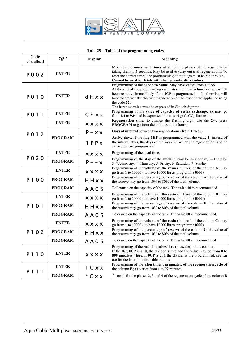

# **Tab. 25 – Table of the programming codes**

| Code<br>visualised | ☞                             | <b>Display</b>   | <b>Meaning</b>                                                                                                                                                                                                                                                                                                                                                                           |  |
|--------------------|-------------------------------|------------------|------------------------------------------------------------------------------------------------------------------------------------------------------------------------------------------------------------------------------------------------------------------------------------------------------------------------------------------------------------------------------------------|--|
| P 0 0 2            | <b>ENTER</b>                  |                  | Modifies the movement times of all of the phases of the regeneration<br>taking them to 5 seconds. May be used to carry out trial regenerations. To<br>reset the correct times, the programming of the flags must be run through.<br>Cannot be used for trials with the hydraulic distributors.                                                                                           |  |
| P010               | <b>ENTER</b><br>$d$ H $x$ $x$ |                  | Programming of the hardness value. May have values from 1 to 99.<br>At the end of the programming calculates the mew volume values, which<br>become active immediately if the $2CP$ is programmed to $0$ , otherwise, will<br>become active after the first regeneration or the reset of the appliance using<br>the code 220.<br>The hardness value must be expressed in French degrees. |  |
| P 0 1 1            | <b>ENTER</b>                  | Chx.x            | Programming of the value of capacity of resins exchange; xx may go<br>from 1.4 to 9.0, and is expressed in terms of $gr CaCO3/litre$ resin.                                                                                                                                                                                                                                              |  |
|                    | <b>ENTER</b>                  | <b>XXXX</b>      | Regeneration time; to change the flashing digit, use the $2/+$ , press<br>PROGRAM to go from the minutes to the hours.                                                                                                                                                                                                                                                                   |  |
| P012               |                               | $P - x x$        | Days of interval between two regenerations (from 1 to 30)                                                                                                                                                                                                                                                                                                                                |  |
|                    | <b>PROGRAM</b>                | $1$ $P$ $P$ $x$  | Active days. If the flag 1HP is programmed with the value 1, instead of<br>the interval days, the days of the week on which the regeneration is to be<br>carried out are programmed.                                                                                                                                                                                                     |  |
|                    | <b>ENTER</b>                  | <b>XXXX</b>      | Programming of the local time.                                                                                                                                                                                                                                                                                                                                                           |  |
| P 0 2 0            | <b>PROGRAM</b>                | $P - -x$         | Programming of the day of the week: x may be $1 =$ Monday, $2 =$ Tuesday,<br>3=Wednesday, 4=Thursday, 5=Friday, 6=Saturday, 7=Sunday                                                                                                                                                                                                                                                     |  |
| P100               | <b>ENTER</b>                  | <b>XXXX</b>      | Programming of the <b>volume of the resin</b> (in litres) of the column A: may<br>go from 1 to 10000 (to have 10000 litres, programme 0000)                                                                                                                                                                                                                                              |  |
|                    | <b>PROGRAM</b>                | HHxx             | Programming of the <b>percentage of reserve</b> of the column A; the value of<br>the reserve may go from 10% to 80% of the total volume.                                                                                                                                                                                                                                                 |  |
|                    | <b>PROGRAM</b>                | A A 0 5          | Tollerance on the capacity of the tank. The value 00 is recommended.                                                                                                                                                                                                                                                                                                                     |  |
|                    | <b>ENTER</b>                  | <b>XXXX</b>      | Programming of the volume of the resin (in litres) of the column B: may<br>go from 1 to 10000 ( to have 10000 litres, programme 0000 )                                                                                                                                                                                                                                                   |  |
| P101               | <b>PROGRAM</b><br>HHxx        |                  | Programming of the percentage of reserve of the column B; the value of<br>the reserve may go from 10% to 80% of the total volume.                                                                                                                                                                                                                                                        |  |
|                    | <b>PROGRAM</b>                | A A 0 5          | Tolerance on the capacity of the tank. The value 00 is recommended.                                                                                                                                                                                                                                                                                                                      |  |
|                    | <b>ENTER</b><br><b>XXXX</b>   |                  | Programming of the volume of the resin (in litres) of the column C: may<br>go from 1 to 10000 (to have 10000 litres, programme 0000)                                                                                                                                                                                                                                                     |  |
| P 1 0 2            | <b>PROGRAM</b><br>HHxx        |                  | Programming of the percentage of reserve of the column C; the value of<br>the reserve may go from 10% to 80% of the total volume.                                                                                                                                                                                                                                                        |  |
|                    | <b>PROGRAM</b>                | AA05             | Tolerance on the capacity of the tank. The value 00 is recommended                                                                                                                                                                                                                                                                                                                       |  |
| P 1 1 0            | <b>ENTER</b>                  | <b>XXXX</b>      | Programming of the ratio impulses/litre (prescaler) of the counter.<br>If the flag $0CP$ is at 0, the divider is free and the value may go from 0 to<br>899 impulses / litre. If 0CP is at 1 the divider is pre-programmed; see par<br>6.6 for the list of the available options.                                                                                                        |  |
|                    | <b>ENTER</b>                  | 1 Cxx            | Programming of the stop times, in minutes, of the regeneration cycle of<br>the column B; xx varies from 1 to 99 minutes                                                                                                                                                                                                                                                                  |  |
| P 1 1 1            | <b>PROGRAM</b>                | $*$ C x $\times$ | * stands for the phases 2, 3 and 4 of the regeneration cycle of the column <b>B</b>                                                                                                                                                                                                                                                                                                      |  |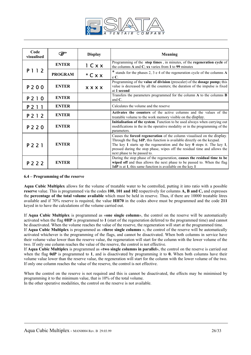

| Code<br>visualised      | ☞                           | <b>Display</b> | <b>Meaning</b>                                                                                                                                                                                                                                                                                                                                    |  |
|-------------------------|-----------------------------|----------------|---------------------------------------------------------------------------------------------------------------------------------------------------------------------------------------------------------------------------------------------------------------------------------------------------------------------------------------------------|--|
|                         | <b>ENTER</b>                | 1 C x x        | Programming of the stop times, in minutes, of the regeneration cycle of<br>the columns A and C; xx varies from 1 to 99 minutes                                                                                                                                                                                                                    |  |
| P 1 1 2                 | <b>PROGRAM</b><br>$*$ C x x |                | * stands for the phases 2, 3 e 4 of the regeneration cycle of the columns A<br>$eC$ .                                                                                                                                                                                                                                                             |  |
| P 2 0 0                 | <b>ENTER</b>                | <b>XXXX</b>    | Programming of the <b>value of division</b> (prescaler) of the <b>dosage pump</b> ; this<br>value is decreased by all the counters; the duration of the impulse is fixed<br>at 1 second                                                                                                                                                           |  |
| P 2 1 0                 | <b>ENTER</b>                |                | Transfers the parameters programmed for the column A to the columns B<br>and $C$ .                                                                                                                                                                                                                                                                |  |
| P 2 1 1                 | <b>ENTER</b>                |                | Calculates the volume and the reserve                                                                                                                                                                                                                                                                                                             |  |
| P 2 1 2                 | <b>ENTER</b>                |                | Activates the counters of the active columns and the values of the<br>treatable volume to the work memory visible on the display.                                                                                                                                                                                                                 |  |
| P 2 2 0                 | <b>ENTER</b>                |                | Initialisation of the system. Function to be used always when carrying out<br>modifications in the in the operative modality or in the programming of the<br>parameters.                                                                                                                                                                          |  |
| <b>ENTER</b><br>P 2 2 1 |                             |                | Causes the forced regeneration of the column visualised on the display.<br>Through the flag 1dP, this function is available directly on the keypad.<br>The key 1 starts up the regeneration and the key $\theta$ stops it. The key 1,<br>pressed during the stop phase, wipes off the residual time and allows the<br>next phase to be passed to. |  |
| P 2 2 2                 | <b>ENTER</b>                |                | During the stop phase of the regeneration, causes the residual time to be<br>wiped off and thus allows the next phase to be passed to. When the flag<br>1dP is at 1, this same function is available on the key 1                                                                                                                                 |  |

#### **6.4 – Programming of the reserve**

**Aqua Cubic Multiplex** allows for the volume of treatable water to be controlled, putting it into ratio with a possible **reserve** value. This is programmed via the codes **100, 101 and 102** respectively for columns **A, B and C,** and expresses the **percentage of the total volume available** which must be held in reserve. Thus, if there are 10000 treatable litres available and if 70% reserve is required, the value **HH70** in the codes above must be programmed and the code **211**  keyed in to have the calculations of the volume carried out.

If **Aqua Cubic Multiplex** is programmed as «**one single column**», the control on the reserve will be automatically activated when the flag **0HP** is programmed to **1** (start of the regeneration deferred to the programmed time) and cannot be disactivated. When the volume reaches the value of the reserve, the regeneration will start at the programmed time.

If **Aqua Cubic Multiplex** is programmed as «**three single columns** », the control of the reserve will be automatically activated whichever is the programming of the flags, and cannot be disactivated. When both columns in service have their volume value lower than the reserve value, the regeneration will start for the column with the lower volume of the two. If only one column reaches the value of the reserve, the control is not effective.

If **Aqua Cubic Multiplex** is programmed as «**two single columns in parallel**», the control on the reserve is carried out when the flag **0dP** is programmed to **1**, and is disactivated by programming it to **0.** When both columns have their volume value lower than the reserve value, the regeneration will start for the column with the lower volume of the two. If only one column reaches the value of the reserve, the control is not effective.

When the control on the reserve is not required and this is cannot be disactivated, the effects may be minimised by programming it to the minimum value, that is 10% of the total volume. In the other operative modalities, the control on the reserve is not available.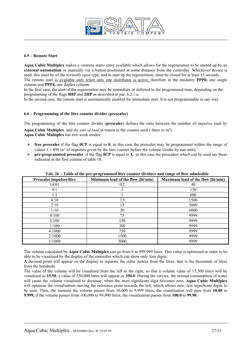

#### **6.5 – Remote Start**

**Aqua Cubic Multiplex** makes a «remote start» entry available which allows for the regeneration to be started up by an **external automatism** or manually via a button positioned at some distance from the controller. Whichever device is used, this must be of the *normally open* type, and to start up the regeneration, must be closed for at least 15 seconds. The remote start is available only when only one distributor is active, therefore in the modality **PPP0,** one single column and **PPP4,** one duplex column.

In the first case, the start of the regeneration may be immediate or deferred to the programmed time, depending on the programming of the flags **0HP** and **2HP** as described in par. 6.2.1.a.

In the second case, the remote start is automatically enabled for immediate start. It is not programmable in any way.

#### **6.6 – Programming of the litre counter divider (prescaler)**

The programming of the litre counter divider (**prescaler**) defines the ratio between the number of *impulses* read by

**Aqua Cubic Multiplex** and *the unit of load* in transit in the counter used ( litres or m³) . **Aqua Cubic Multiplex** has two work modes:

- $\triangleright$  **free prescaler** if the flag **0CP** is equal to **0**; in this case the prescaler may be programmed within the range of values  $1 \div 899$  (n° of impulses given by the litre counter before the volume climbs by one unit);
- ¾ **pre-programmed prescaler** if the flag **0CP** is equal to **1,** in this case the prescalers which can be used are those indicated in the first column of table 18;

| <b>Prescaler impulses/litre</b> | Minimum load of the flow (lit/min) | Maximum load of the flow (lit/min) |
|---------------------------------|------------------------------------|------------------------------------|
| 14/01                           | 0.2                                | 40                                 |
| 4/1                             |                                    | 150                                |
| 1/1                             | 3                                  | 600                                |
| 4/10                            | 7.5                                | 1500                               |
| 2/10                            | 15                                 | 3000                               |
| 1/10                            | 30                                 | 6000                               |
| 4/100                           | 75                                 | 9999                               |
| 2/100                           | 150                                | 9999                               |
| 1/100                           | 300                                | 9999                               |
| 4/1000                          | 750                                | 9999                               |
| 2/1000                          | 1500                               | 9999                               |
| 1/1000                          | 3000                               | 9999                               |

**Tab. 26 – Table of the pre-programmed litre counter dividers and range of flow admissible** 

The volume calculated by **Aqua Cubic Multiplex** can go from 0 to 999,999 litres. This value is optimised in order to be able to be visualised by the display of the controller which can show only four digits.

A decimal point will appear on the display to separate the cubic metres from the litres, that is the thousands of litres from the hundreds.

The value of the volume will be visualised from the left to the right, so that a volume value of 15,500 litres will be visualised as **15.50**, a value of 350,000 litres will appear as **350.0**. During the service, the normal consumption of water will cause the volume visualised to decrease; when the most significant digit becomes zero, **Aqua Cubic Multiplex** will optimise the visualisation moving the reference point towards the left, which allows new, less significant digits to be seen. Thus, the moment the volume passes from 10,000 to 9,999 litres, the visualisation will pass from **10.00** to **9.999,** if the volume passes from 100,000 to 99,900 litres, the visualisation passes from **100.0** to **99.90**.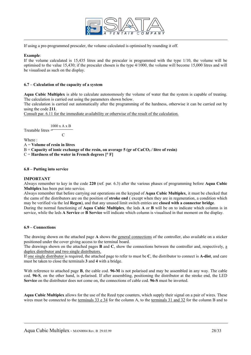

If using a pre-programmed prescaler, the volume calculated is optimised by rounding it off.

#### **Example**:

If the volume calculated is 15,435 litres and the prescaler is programmed with the type 1/10, the volume will be optimised to the value 15,430; if the prescaler chosen is the type 4/1000, the volume will become 15,000 litres and will be visualised as such on the display.

#### **6.7 – Calculation of the capacity of a system**

**Aqua Cubic Multiplex** is able to calculate autonomously the volume of water that the system is capable of treating. The calculation is carried out using the parameters shown below.

The calculation is carried out automatically after the programming of the hardness, otherwise it can be carried out by using the code **211**.

Consult par. 6.11 for the immediate availability or otherwise of the result of the calculation.

 $1000$  x A  $\rm x$  B Treatable litres = **C** C

Where :

A = **Volume of resin in litres**

 $B =$  Capacity of ionic exchange of the resin, on average 5 (gr of  $CaCO<sub>3</sub>$ ) litre of resin)

 $C =$  **Hardness of the water in French degrees**  $\lceil \circ \text{F} \rceil$ 

#### **6.8 – Putting into service**

#### **IMPORTANT**

Always remember to key in the code **220** (ref. par. 6.3) after the various phases of programming before **Aqua Cubic Multiplex** has been put into service.

Always remember that before carrying out operations on the keypad of **Aqua Cubic Multiplex**, it must be checked that the cams of the distributors are on the position of **stroke end** ( except when they are in regeneration, a condition which may be verified via the led **Regen**), and that any unused limit switch entries are **closed with a connector bridge**. During the normal functioning of **Aqua Cubic Multiplex**, the leds **A** or **B** will be on to indicate which column is in service, while the leds **A Service** or **B Service** will indicate which column is visualised in that moment on the display.

#### **6.9 – Connections**

The drawing shown on the attached page **A** shows the general connections of the controller, also available on a sticker positioned under the cover giving access to the terminal board.

The drawings shown on the attached pages **B** and **C**, show the connections between the controller and, respectively, a duplex distributor and two single distributors.

If one single distributor is required, the attached page to refer to must be **C**, the distributor to connect is **A-dist**, and care must be taken to close the terminals **3** and **4** with a bridge.

With reference to attached page **B**, the cable cod. **96-M** is not polarised and may be assembled in any way. The cable cod. **96-S**, on the other hand, is polarised. If after assembling, positioning the distributor at the stroke end, the LED **Service** on the distributor does not come on, the connections of cable cod. **96-S** must be inverted.

**Aqua Cubic Multiplex** allows for the use of the Reed type counters, which supply their signal on a pair of wires. These wires must be connected to the terminals 33 e 34 for the column A, to the terminals 31 and 32 for the column B and to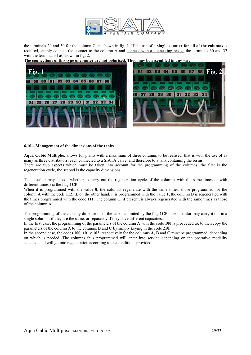

the terminals 29 and 30 for the column C, as shown in fig. 1. If the use of **a single counter for all of the columns** is required, simply connect the counter to the column A and connect with a connecting bridge the terminals 30 and 32 with the terminal 34 as shown in fig. 2.

**The connections of this type of counter are not polarised. They may be assembled in any way.**





#### **6.10 – Management of the dimensions of the tanks**

**Aqua Cubic Multiplex** allows for plants with a maximum of three columns to be realised, that is with the use of as many as three distributors, each connected to a SIATA valve, and therefore to a tank containing the resins.

There are two aspects which must be taken into account for the programming of the columns; the first is the regeneration cycle, the second is the capacity dimensions.

The installer may choose whether to carry out the regeneration cycle of the columns with the same times or with different times via the flag **1CP**.

When it is programmed with the value **0**, the columns regenerate with the same times, those programmed for the column **A** with the code **112**. If, on the other hand, it is programmed with the value **1**, the column **B** is regenerated with the times programmed with the code **111**. The column **C**, if present, is always regenerated with the same times as those of the column **A**.

The programming of the capacity dimensions of the tanks is limited by the flag **1CP**. The operator may carry it out in a single solution, if they are the same, or separately if they have different capacities.

In the first case, the programming of the parameters of the column **A** with the code **100** is proceeded to, to then copy the parameters of the column **A** to the columns **B** and **C** by simply keying in the code **210**.

In the second case, the codes **100**, **101** e **102**, respectively for the columns **A**, **B** and **C** must be programmed, depending on which is needed, The columns thus programmed will enter into service depending on the operative modality selected, and will go into regeneration according to the conditions provided.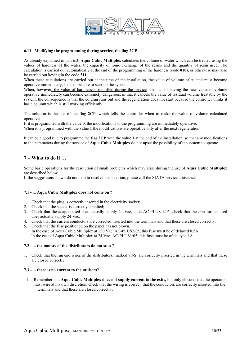

#### **6.11 –Modifying the programming during service, the flag 2CP**

As already explained in par. 6.3, **Aqua Cubic Multiplex** calculates the volume of water which can be treated using the values of hardness of the water, the capacity of ionic exchange of the resins and the quantity of resin used. The calculation is carried out automatically at the end of the programming of the hardness (code **010**), or otherwise may also be carried out keying in the code **211**.

When these calculations are carried out at the time of the installation, the value of volume calculated must become operative immediately, so as to be able to start up the system.

When, however, the value of hardness is modified during the service, the fact of having the new value of volume operative immediately can become extremely dangerous, in that it cancels the value of residual volume treatable by the system; the consequence is that the column runs out and the regeneration does not start because the controller thinks it has a column which is still working efficiently.

The solution is the use of the flag **2CP**, which tells the controller when to make the value of volume calculated operative.

If it is programmed with the value **0**, the modifications to the programming are immediately operative.

When it is programmed with the value 1 the modifications are operative only after the next regeneration.

It can be a good rule to programme the flag **2CP** with the value **1** at the end of the installation, so that any modifications to the parameters during the service of **Aqua Cubic Multiplex** do not upset the possibility of the system to operate.

## **7 – What to do if …**

Some basic operations for the resolution of small problems which may arise during the use of **Aqua Cubic Multiplex**  are described below.

If the suggestions shown do not help to resolve the situation, please call the SIATA service assistance.

#### **7.1 - ... Aqua Cubic Multiplex does not come on ?**

- 1. Check that the plug is correctly inserted in the electricity socket;
- 2. Check that the socket is correctly supplied;
- 3. Check that the adapter used does actually supply 24 Vac, code AC-PLUS 1/05, check that the transformer used does actually supply 24 Vac;
- 4. Check that the current conductors are corrected inserted into the terminals and that these are closed correctly.
- 5. Check that the fuse positioned on the panel has not blown.

In the case of Aqua Cubic Multiplex at 230 Vac, AC-PLUS2/05, this fuse must be of delayed 0.5A; In the case of Aqua Cubic Multiplex at 24 Vac, AC-PLUS1/05, this fuse must be of delayed 1A

#### **7.2 - ... the motors of the distributors do not stop ?**

1. Check that the run end wires of the distributors, marked 96-S, are correctly inserted in the terminals and that these are closed correctly;

#### **7.3 - ... there is no current to the utilisers?**

1. Remember that **Aqua Cubic Multiplex does not supply current to the exits,** but only closures that the operator must wire at his own discretion, check that the wiring is correct, that the conductors are correctly inserted into the terminals and that these are closed correctly;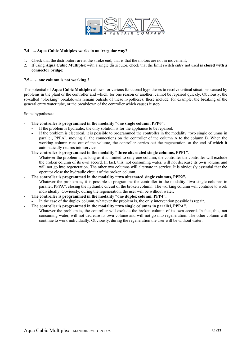

#### **7.4 - ... Aqua Cubic Multiplex works in an irregular way?**

- 1. Check that the distributors are at the stroke end, that is that the motors are not in movement;
- 2. If using **Aqua Cubic Multiplex** with a single distributor, check that the limit switch entry not used **is closed with a connector bridge**;

#### **7.5 – … one column is not working ?**

The potential of **Aqua Cubic Multiplex** allows for various functional hypotheses to resolve critical situations caused by problems in the plant or the controller and which, for one reason or another, cannot be repaired quickly. Obviously, the so-called "blocking" breakdowns remain outside of these hypotheses; these include, for example, the breaking of the general entry water tube, or the breakdown of the controller which causes it stop.

Some hypotheses:

- The controller is programmed in the modality "one single column, PPP0".
	- If the problem is hydraulic, the only solution is for the appliance to be repaired.
	- If the problem is electrical, it is possible to programmed the controller in the modality "two single columns in parallel, PPPA", moving all the connections on the controller of the column A to the column B. When the working column runs out of the volume, the controller carries out the regeneration, at the end of which it automatically returns into service.
- **The controller is programmed in the modality "three alternated single columns, PPP1"**.
	- Whatever the problem is, as long as it is limited to only one column, the controller the controller will exclude the broken column of its own accord. In fact, this, not consuming water, will not decrease its own volume and will not go into regeneration. The other two columns will alternate in service. It is obviously essential that the operator close the hydraulic circuit of the broken column.
- The controller is programmed in the modality "two alternated single columns, PPP2".
	- Whatever the problem is, it is possible to programme the controller in the modality "two single columns in parallel, PPPA", closing the hydraulic circuit of the broken column. The working column will continue to work individually. Obviously, during the regeneration, the user will be without water.
- The controller is programmed in the modality "one duplex column, PPP4".
	- In the case of the duplex column, whatever the problem is, the only intervention possible is repair.
- **The controller is programmed in the modality "two single columns in parallel, PPPA".** 
	- Whatever the problem is, the controller will exclude the broken column of its own accord. In fact, this, not consuming water, will not decrease its own volume and will not go into regeneration. The other column will continue to work individually. Obviously, during the regeneration the user will be without water.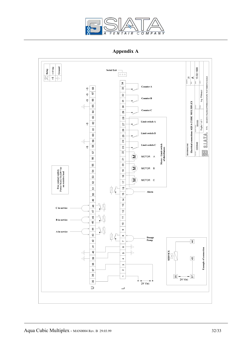

# **Appendix A**